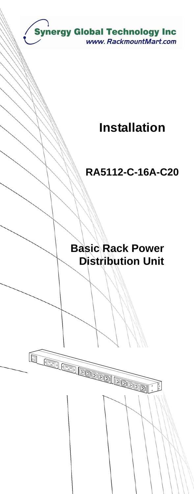

# **Installation**

## **RA5112-C-16A-C20**

## **Basic Rack Power Distribution Unit**

 $\sqrt{\frac{6}{2}}$ 

Í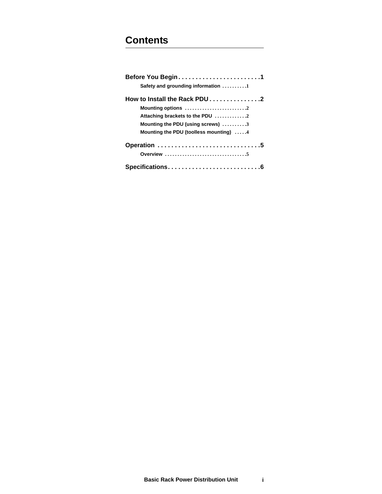### **Contents**

| Before You Begin1                                 |  |
|---------------------------------------------------|--|
| Safety and grounding information 1                |  |
| How to Install the Rack PDU 2                     |  |
| Mounting options 2                                |  |
| Attaching brackets to the PDU 2                   |  |
| Mounting the PDU (using screws) $\dots\dots\dots$ |  |
| Mounting the PDU (toolless mounting) 4            |  |
| Operation 5                                       |  |
|                                                   |  |
|                                                   |  |
|                                                   |  |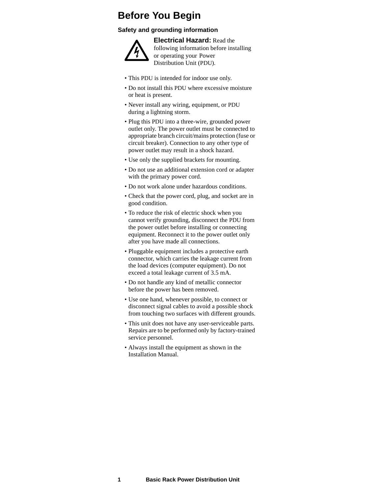### **Before You Begin**

#### **Safety and grounding information**



**Electrical Hazard:** Read the following information before installing or operating your Power Distribution Unit (PDU).

- This PDU is intended for indoor use only.
- Do not install this PDU where excessive moisture or heat is present.
- Never install any wiring, equipment, or PDU during a lightning storm.
- Plug this PDU into a three-wire, grounded power outlet only. The power outlet must be connected to appropriate branch circuit/mains protection (fuse or circuit breaker). Connection to any other type of power outlet may result in a shock hazard.
- Use only the supplied brackets for mounting.
- Do not use an additional extension cord or adapter with the primary power cord.
- Do not work alone under hazardous conditions.
- Check that the power cord, plug, and socket are in good condition.
- To reduce the risk of electric shock when you cannot verify grounding, disconnect the PDU from the power outlet before installing or connecting equipment. Reconnect it to the power outlet only after you have made all connections.
- Pluggable equipment includes a protective earth connector, which carries the leakage current from the load devices (computer equipment). Do not exceed a total leakage current of 3.5 mA.
- Do not handle any kind of metallic connector before the power has been removed.
- Use one hand, whenever possible, to connect or disconnect signal cables to avoid a possible shock from touching two surfaces with different grounds.
- This unit does not have any user-serviceable parts. Repairs are to be performed only by factory-trained service personnel.
- Always install the equipment as shown in the Installation Manual.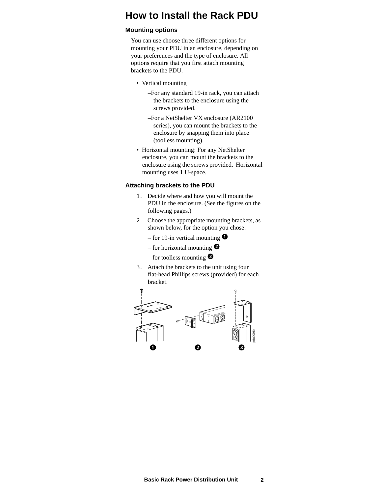### <span id="page-3-0"></span>**How to Install the Rack PDU**

#### **Mounting options**

You can use choose three different options for mounting your PDU in an enclosure, depending on your preferences and the type of enclosure. All options require that you first attach mounting brackets to the PDU.

- Vertical mounting
	- –For any standard 19-in rack, you can attach the brackets to the enclosure using the screws provided.
	- –For a NetShelter VX enclosure (AR2100 series), you can mount the brackets to the enclosure by snapping them into place (toolless mounting).
- Horizontal mounting: For any NetShelter enclosure, you can mount the brackets to the enclosure using the screws provided. Horizontal mounting uses 1 U-space.

#### <span id="page-3-1"></span>**Attaching brackets to the PDU**

- 1. Decide where and how you will mount the PDU in the enclosure. (See the figures on the following pages.)
- 2. Choose the appropriate mounting brackets, as shown below, for the option you chose:
	- for 19-in vertical mounting  $\bullet$
	- for horizontal mounting  $\bullet$
	- for toolless mounting  $\bullet$
- 3. Attach the brackets to the unit using four flat-head Phillips screws (provided) for each bracket.

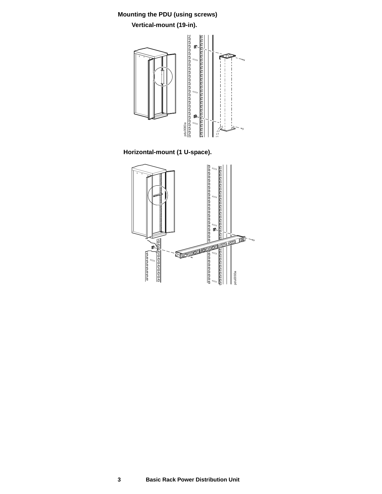### <span id="page-4-0"></span>**Mounting the PDU (using screws) Vertical-mount (19-in).**



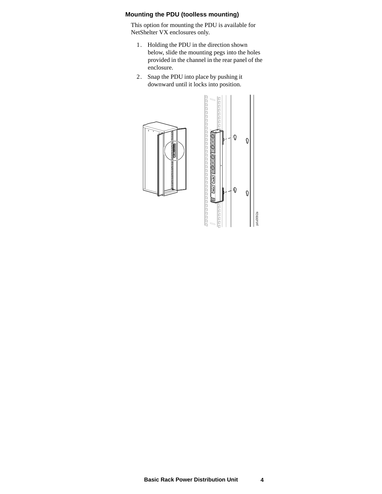#### <span id="page-5-0"></span>**Mounting the PDU (toolless mounting)**

This option for mounting the PDU is available for NetShelter VX enclosures only.

- 1. Holding the PDU in the direction shown below, slide the mounting pegs into the holes provided in the channel in the rear panel of the enclosure.
- 2. Snap the PDU into place by pushing it downward until it locks into position.



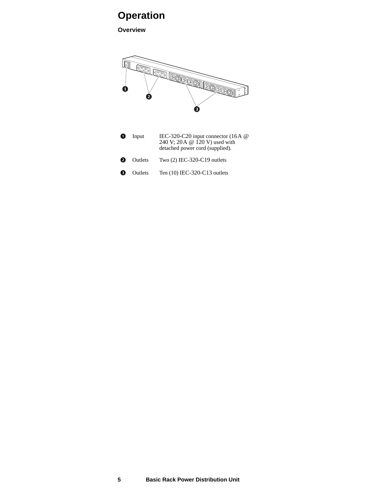## <span id="page-6-0"></span>**Operation**

**Overview**



| O | Input          | IEC-320-C20 input connector $(16A \ @$<br>240 V; 20A @ 120 V) used with<br>detached power cord (supplied). |
|---|----------------|------------------------------------------------------------------------------------------------------------|
| ❷ | Outlets        | Two $(2)$ IEC-320-C19 outlets                                                                              |
| ❸ | <b>Outlets</b> | Ten (10) IEC-320-C13 outlets                                                                               |